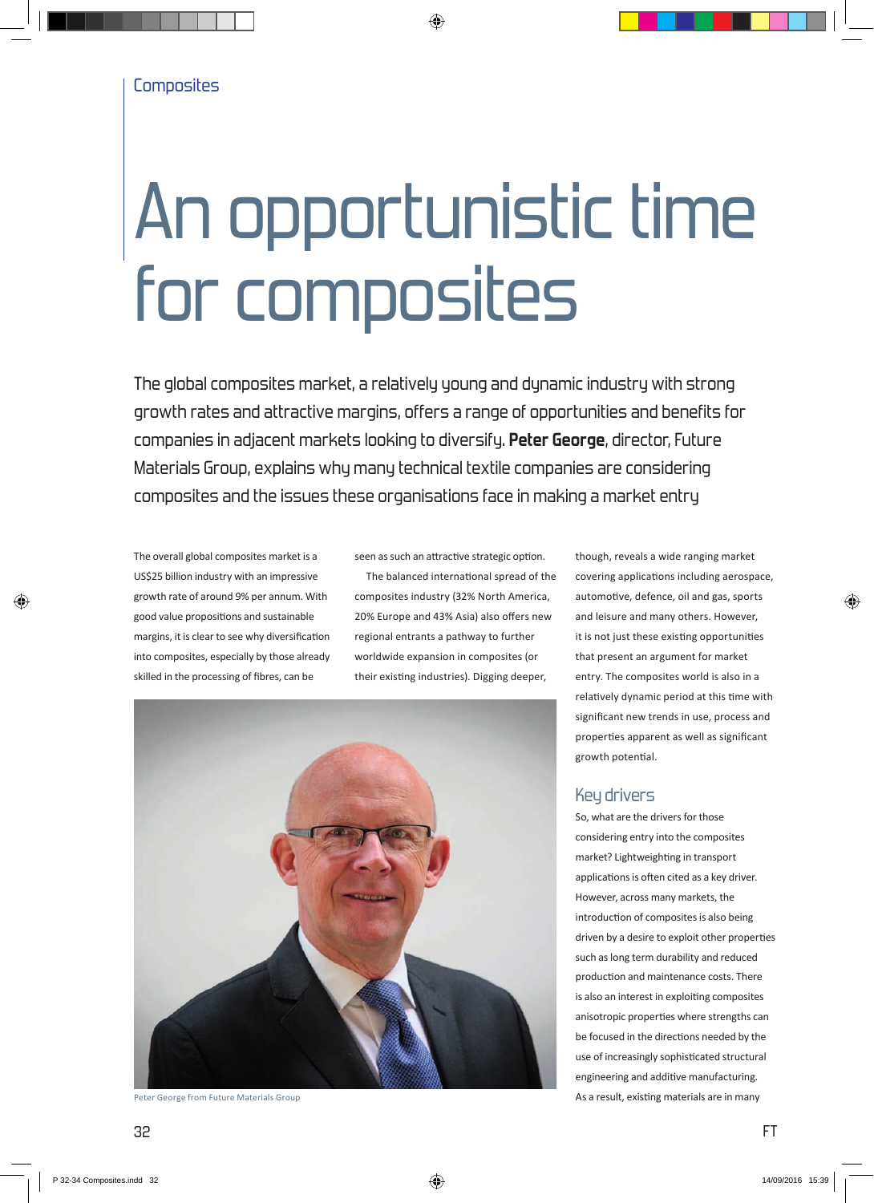# An opportunistic time for composites

The global composites market, a relatively young and dynamic industry with strong growth rates and attractive margins, offers a range of opportunities and benefits for companies in adjacent markets looking to diversify. **Peter George**, director, Future Materials Group, explains why many technical textile companies are considering composites and the issues these organisations face in making a market entry

The overall global composites market is a US\$25 billion industry with an impressive growth rate of around 9% per annum. With good value propositions and sustainable margins, it is clear to see why diversification into composites, especially by those already skilled in the processing of fibres, can be

seen as such an attractive strategic option.

The balanced international spread of the composites industry (32% North America, 20% Europe and 43% Asia) also offers new regional entrants a pathway to further worldwide expansion in composites (or their existing industries). Digging deeper,



though, reveals a wide ranging market covering applications including aerospace, automotive, defence, oil and gas, sports and leisure and many others. However, it is not just these existing opportunities that present an argument for market entry. The composites world is also in a relatively dynamic period at this time with significant new trends in use, process and properties apparent as well as significant growth potential.

# Key drivers

So, what are the drivers for those considering entry into the composites market? Lightweighting in transport applications is often cited as a key driver. However, across many markets, the introduction of composites is also being driven by a desire to exploit other properties such as long term durability and reduced production and maintenance costs. There is also an interest in exploiting composites anisotropic properties where strengths can be focused in the directions needed by the use of increasingly sophisticated structural engineering and additive manufacturing. Peter George from Future Materials Group **As a result, existing materials are in many As a result, existing materials are in many**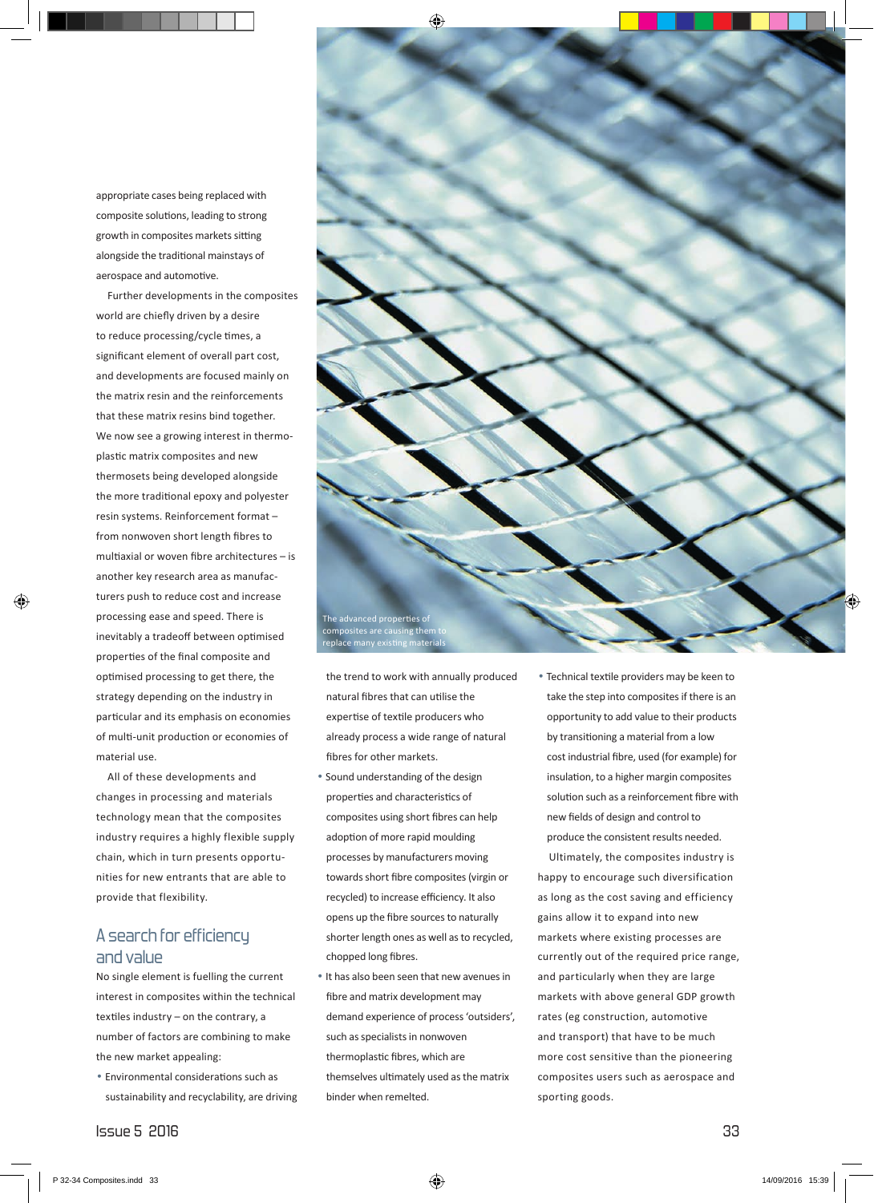appropriate cases being replaced with composite solutions, leading to strong growth in composites markets sitting alongside the traditional mainstays of aerospace and automotive.

Further developments in the composites world are chiefly driven by a desire to reduce processing/cycle times, a significant element of overall part cost, and developments are focused mainly on the matrix resin and the reinforcements that these matrix resins bind together. We now see a growing interest in thermoplastic matrix composites and new thermosets being developed alongside the more traditional epoxy and polyester resin systems. Reinforcement format – from nonwoven short length fibres to multiaxial or woven fibre architectures – is another key research area as manufacturers push to reduce cost and increase processing ease and speed. There is inevitably a tradeoff between optimised properties of the final composite and optimised processing to get there, the strategy depending on the industry in particular and its emphasis on economies of multi-unit production or economies of material use.

All of these developments and changes in processing and materials technology mean that the composites industry requires a highly flexible supply chain, which in turn presents opportunities for new entrants that are able to provide that flexibility.

## A search for efficiency and value

No single element is fuelling the current interest in composites within the technical textiles industry – on the contrary, a number of factors are combining to make the new market appealing:

• Environmental considerations such as sustainability and recyclability, are driving



the trend to work with annually produced natural fibres that can utilise the expertise of textile producers who already process a wide range of natural fibres for other markets.

- Sound understanding of the design properties and characteristics of composites using short fibres can help adoption of more rapid moulding processes by manufacturers moving towards short fibre composites (virgin or recycled) to increase efficiency. It also opens up the fibre sources to naturally shorter length ones as well as to recycled, chopped long fibres.
- It has also been seen that new avenues in fibre and matrix development may demand experience of process 'outsiders', such as specialists in nonwoven thermoplastic fibres, which are themselves ultimately used as the matrix binder when remelted.

• Technical textile providers may be keen to take the step into composites if there is an opportunity to add value to their products by transitioning a material from a low cost industrial fibre, used (for example) for insulation, to a higher margin composites solution such as a reinforcement fibre with new fields of design and control to produce the consistent results needed.

Ultimately, the composites industry is happy to encourage such diversification as long as the cost saving and efficiency gains allow it to expand into new markets where existing processes are currently out of the required price range, and particularly when they are large markets with above general GDP growth rates (eg construction, automotive and transport) that have to be much more cost sensitive than the pioneering composites users such as aerospace and sporting goods.